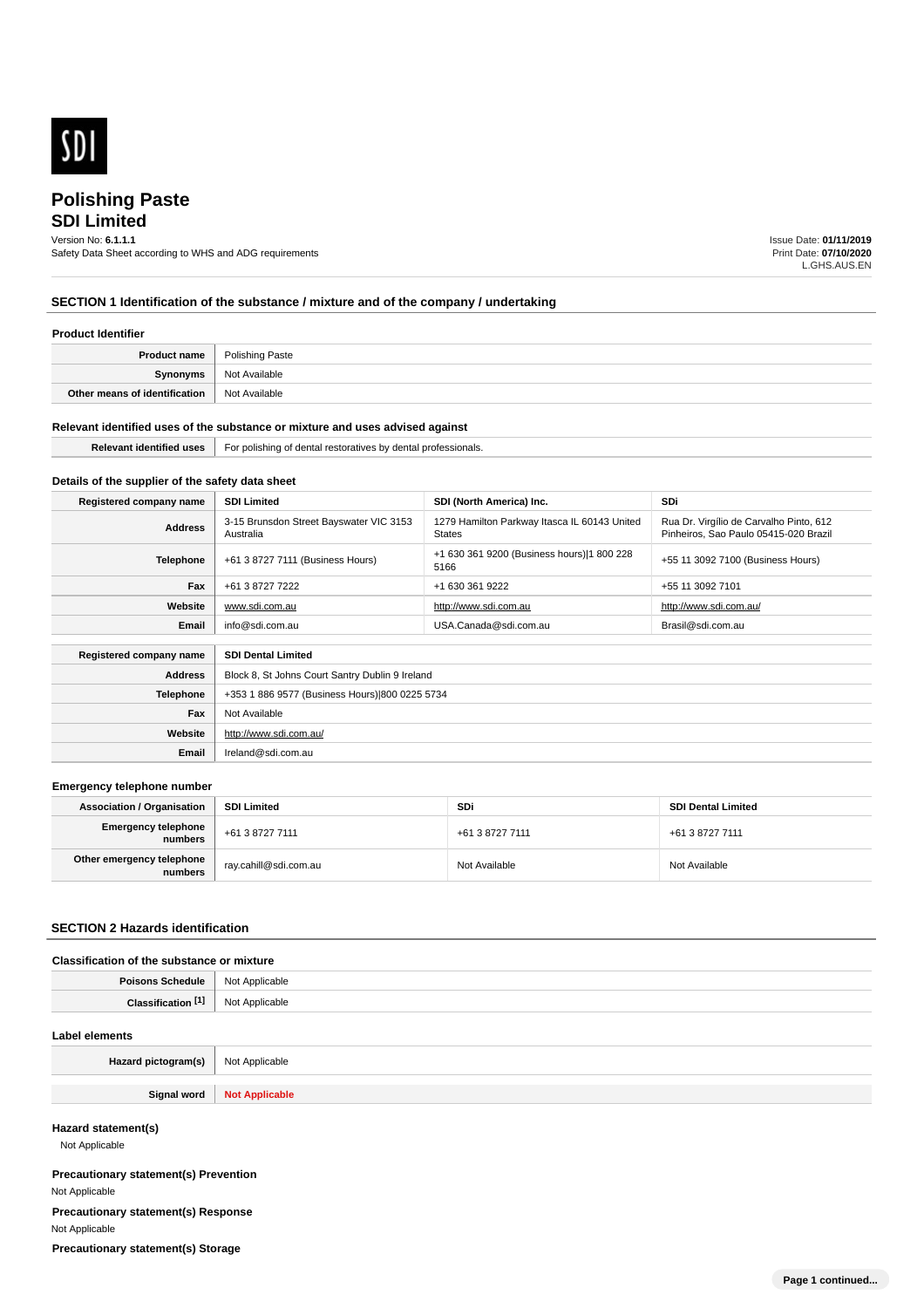

# **SDI Limited Polishing Paste**

# Version No: **6.1.1.1**

Safety Data Sheet according to WHS and ADG requirements

Issue Date: **01/11/2019** Print Date: **07/10/2020** L.GHS.AUS.EN

# **SECTION 1 Identification of the substance / mixture and of the company / undertaking**

#### **Product Identifier**

| <b>Product name</b>           | Polishing Paste |
|-------------------------------|-----------------|
| Synonyms                      | Not Available   |
| Other means of identification | Not Available   |

#### **Relevant identified uses of the substance or mixture and uses advised against**

| identified uses '<br>:vant | `৭l professionals.<br>For p<br>olishin<br>dental restoratives by<br>aent: |
|----------------------------|---------------------------------------------------------------------------|
|                            |                                                                           |

# **Details of the supplier of the safety data sheet**

| Registered company name                              | <b>SDI Limited</b>                                   | SDI (North America) Inc.                                      | <b>SDi</b>                                                                       |
|------------------------------------------------------|------------------------------------------------------|---------------------------------------------------------------|----------------------------------------------------------------------------------|
| <b>Address</b>                                       | 3-15 Brunsdon Street Bayswater VIC 3153<br>Australia | 1279 Hamilton Parkway Itasca IL 60143 United<br><b>States</b> | Rua Dr. Virgílio de Carvalho Pinto, 612<br>Pinheiros, Sao Paulo 05415-020 Brazil |
| <b>Telephone</b>                                     | +61 3 8727 7111 (Business Hours)                     | +1 630 361 9200 (Business hours) 1 800 228<br>5166            | +55 11 3092 7100 (Business Hours)                                                |
| Fax                                                  | +61 3 8727 7222                                      | +1 630 361 9222                                               | +55 11 3092 7101                                                                 |
| Website                                              | www.sdi.com.au                                       | http://www.sdi.com.au                                         | http://www.sdi.com.au/                                                           |
| Email                                                | info@sdi.com.au                                      | USA.Canada@sdi.com.au                                         | Brasil@sdi.com.au                                                                |
| Registered company name<br><b>SDI Dental Limited</b> |                                                      |                                                               |                                                                                  |
| <b>Address</b>                                       | Block 8, St Johns Court Santry Dublin 9 Ireland      |                                                               |                                                                                  |
| Telephone                                            | +353 1 886 9577 (Business Hours) 800 0225 5734       |                                                               |                                                                                  |
| Fax                                                  | Not Available                                        |                                                               |                                                                                  |

# **Emergency telephone number**

**Website**

**Email** Ireland@sdi.com.au

http://www.sdi.com.au/

| <b>Association / Organisation</b>     | <b>SDI Limited</b>    | <b>SDi</b>      | <b>SDI Dental Limited</b> |
|---------------------------------------|-----------------------|-----------------|---------------------------|
| <b>Emergency telephone</b><br>numbers | +61 3 8727 7111       | +61 3 8727 7111 | +61 3 8727 7111           |
| Other emergency telephone<br>numbers  | ray.cahill@sdi.com.au | Not Available   | Not Available             |

#### **SECTION 2 Hazards identification**

### **Classification of the substance or mixture**

| <b>Poisons Schedule</b> | t Applicable<br>Not<br>$   -$<br>$\sim$ $\sim$ |
|-------------------------|------------------------------------------------|
|                         | Applicable                                     |
| Clossificar             | N <sub>IO</sub>                                |
| auvi                    | ושע                                            |

#### **Label elements**

| Hazard pictogram(s) | Not Applicable          |
|---------------------|-------------------------|
|                     |                         |
| C: max<br>- - - - - | Not<br><b>INDUCTION</b> |

### **Hazard statement(s)**

Not Applicable

**Precautionary statement(s) Prevention** Not Applicable **Precautionary statement(s) Response** Not Applicable **Precautionary statement(s) Storage**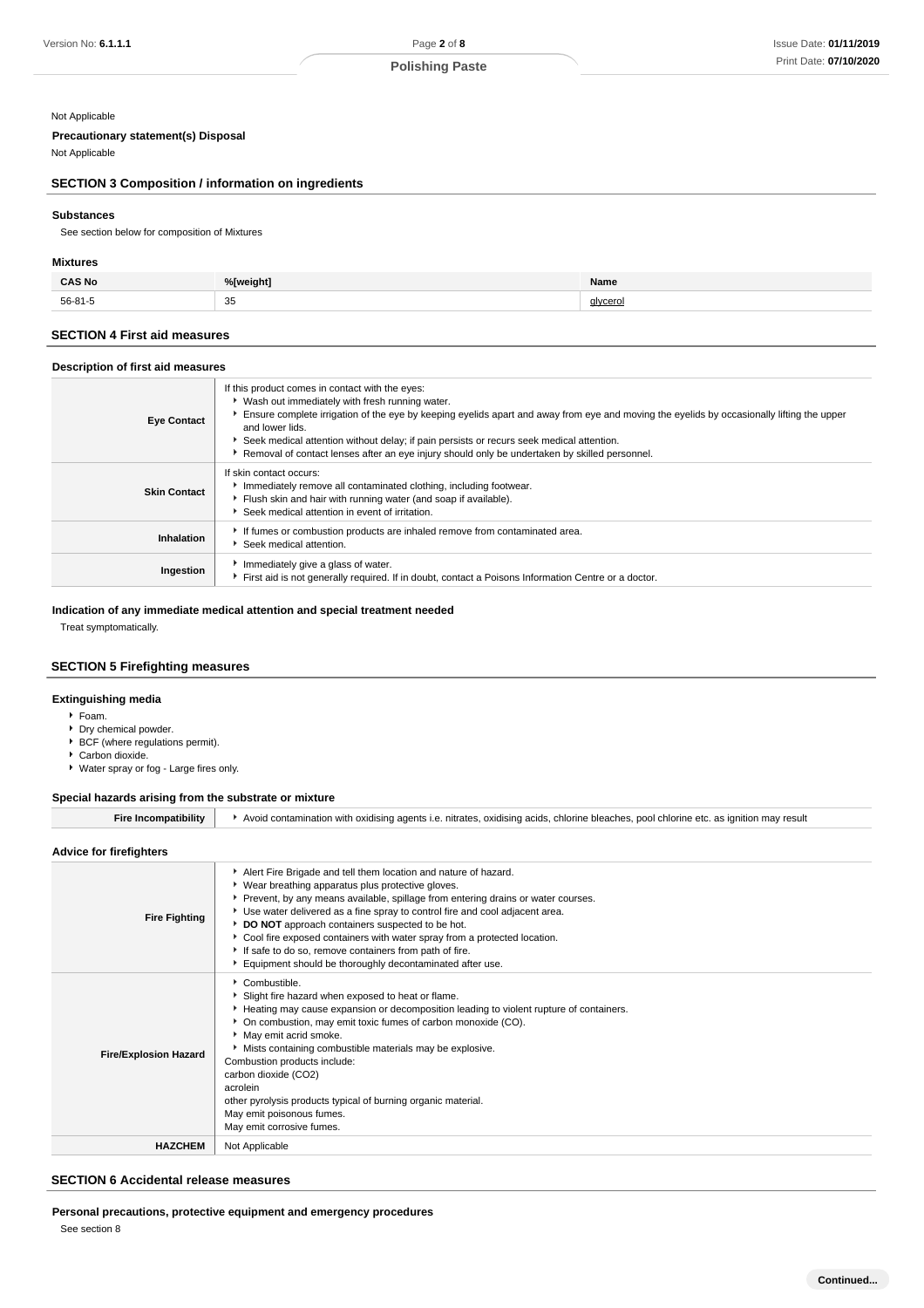#### Not Applicable

## **Precautionary statement(s) Disposal**

Not Applicable

# **SECTION 3 Composition / information on ingredients**

## **Substances**

See section below for composition of Mixtures

### **Mixtures**

| <b>CAS No</b> | %[weight] | Name     |
|---------------|-----------|----------|
| 56-81-5       | 35        | alvcerol |

# **SECTION 4 First aid measures**

## **Description of first aid measures**

| <b>Eye Contact</b>  | If this product comes in contact with the eyes:<br>• Wash out immediately with fresh running water.<br>Ensure complete irrigation of the eye by keeping eyelids apart and away from eye and moving the eyelids by occasionally lifting the upper<br>and lower lids.<br>Seek medical attention without delay; if pain persists or recurs seek medical attention.<br>Removal of contact lenses after an eye injury should only be undertaken by skilled personnel. |
|---------------------|------------------------------------------------------------------------------------------------------------------------------------------------------------------------------------------------------------------------------------------------------------------------------------------------------------------------------------------------------------------------------------------------------------------------------------------------------------------|
| <b>Skin Contact</b> | If skin contact occurs:<br>Immediately remove all contaminated clothing, including footwear.<br>Flush skin and hair with running water (and soap if available).<br>Seek medical attention in event of irritation.                                                                                                                                                                                                                                                |
| Inhalation          | If fumes or combustion products are inhaled remove from contaminated area.<br>Seek medical attention.                                                                                                                                                                                                                                                                                                                                                            |
| Ingestion           | Immediately give a glass of water.<br>First aid is not generally required. If in doubt, contact a Poisons Information Centre or a doctor.                                                                                                                                                                                                                                                                                                                        |

## **Indication of any immediate medical attention and special treatment needed**

Treat symptomatically.

## **SECTION 5 Firefighting measures**

## **Extinguishing media**

- Foam.
- **Dry chemical powder.**
- ► BCF (where regulations permit).
- Carbon dioxide.
- Water spray or fog Large fires only.

## **Special hazards arising from the substrate or mixture**

| <b>Fire Incompatibility</b> | Nooid contamination with oxidising agents i.e. nitrates, oxidising acids, chlorine bleaches, pool chlorine etc. as ignition may result |
|-----------------------------|----------------------------------------------------------------------------------------------------------------------------------------|
|                             |                                                                                                                                        |

## **Advice for firefighters**

| <b>Fire Fighting</b>         | Alert Fire Brigade and tell them location and nature of hazard.<br>▶ Wear breathing apparatus plus protective gloves.<br>▶ Prevent, by any means available, spillage from entering drains or water courses.<br>Use water delivered as a fine spray to control fire and cool adjacent area.<br>DO NOT approach containers suspected to be hot.<br>Cool fire exposed containers with water spray from a protected location.<br>If safe to do so, remove containers from path of fire.<br>Equipment should be thoroughly decontaminated after use. |  |
|------------------------------|-------------------------------------------------------------------------------------------------------------------------------------------------------------------------------------------------------------------------------------------------------------------------------------------------------------------------------------------------------------------------------------------------------------------------------------------------------------------------------------------------------------------------------------------------|--|
| <b>Fire/Explosion Hazard</b> | Combustible.<br>Slight fire hazard when exposed to heat or flame.<br>Heating may cause expansion or decomposition leading to violent rupture of containers.<br>• On combustion, may emit toxic fumes of carbon monoxide (CO).<br>May emit acrid smoke.<br>• Mists containing combustible materials may be explosive.<br>Combustion products include:<br>carbon dioxide (CO2)<br>acrolein<br>other pyrolysis products typical of burning organic material.<br>May emit poisonous fumes.<br>May emit corrosive fumes.                             |  |
| <b>HAZCHEM</b>               | Not Applicable                                                                                                                                                                                                                                                                                                                                                                                                                                                                                                                                  |  |

## **SECTION 6 Accidental release measures**

## **Personal precautions, protective equipment and emergency procedures**

See section 8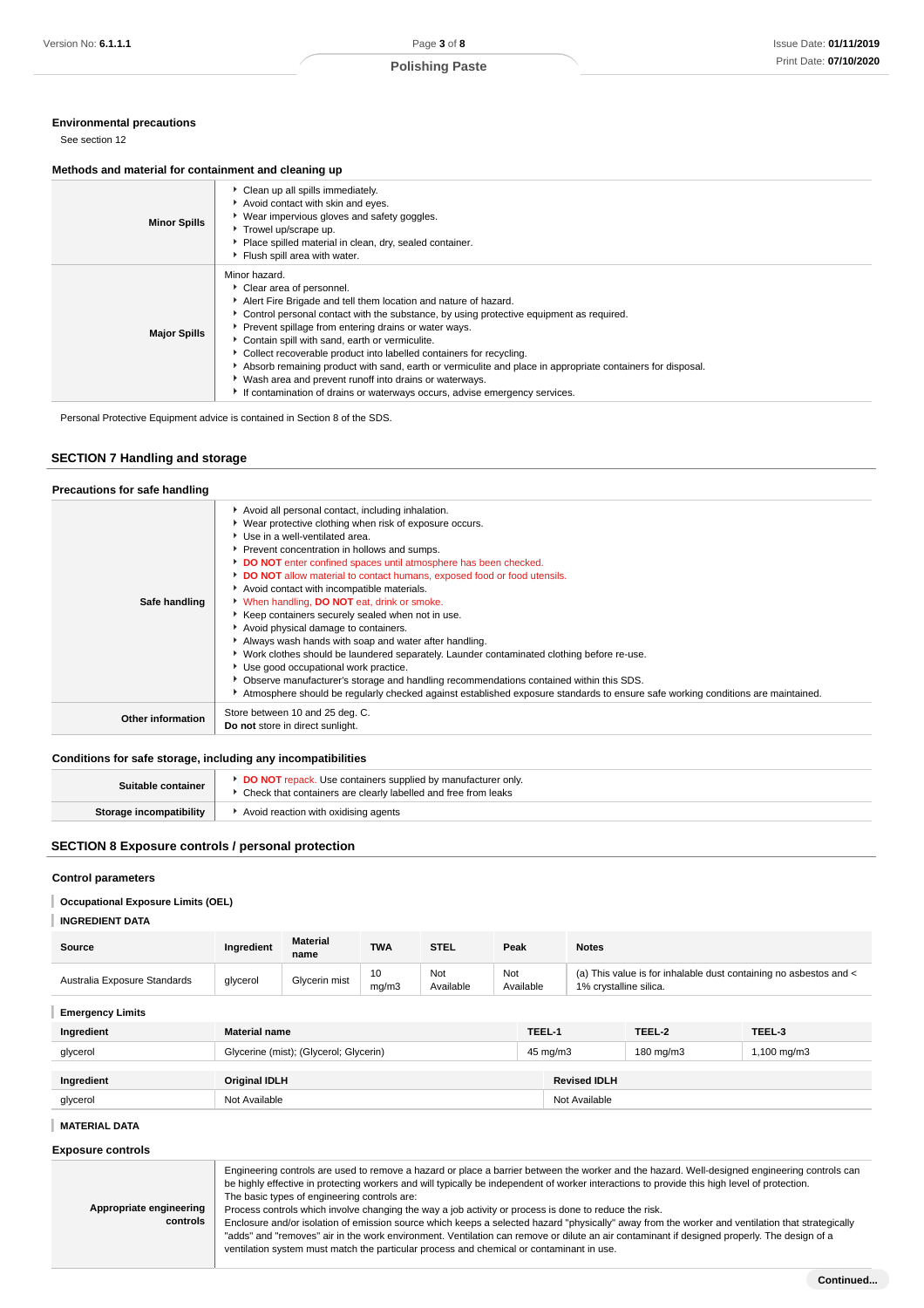## **Environmental precautions**

See section 12

#### **Methods and material for containment and cleaning up**

| <b>Minor Spills</b> | Clean up all spills immediately.<br>Avoid contact with skin and eyes.<br>▶ Wear impervious gloves and safety goggles.<br>Trowel up/scrape up.<br>Place spilled material in clean, dry, sealed container.<br>Flush spill area with water.                                                                                                                                                                                                                                                                                                                                                                                                           |
|---------------------|----------------------------------------------------------------------------------------------------------------------------------------------------------------------------------------------------------------------------------------------------------------------------------------------------------------------------------------------------------------------------------------------------------------------------------------------------------------------------------------------------------------------------------------------------------------------------------------------------------------------------------------------------|
| <b>Major Spills</b> | Minor hazard.<br>Clear area of personnel.<br>Alert Fire Brigade and tell them location and nature of hazard.<br>► Control personal contact with the substance, by using protective equipment as required.<br>Prevent spillage from entering drains or water ways.<br>Contain spill with sand, earth or vermiculite.<br>Collect recoverable product into labelled containers for recycling.<br>Absorb remaining product with sand, earth or vermiculite and place in appropriate containers for disposal.<br>▶ Wash area and prevent runoff into drains or waterways.<br>If contamination of drains or waterways occurs, advise emergency services. |

Personal Protective Equipment advice is contained in Section 8 of the SDS.

## **SECTION 7 Handling and storage**

| Precautions for safe handling |                                                                                                                                                                                                                                                                                                                                                                                                                                                                                                                                                                                                                                                                                                                                                                                                                                                                                                                                                                         |
|-------------------------------|-------------------------------------------------------------------------------------------------------------------------------------------------------------------------------------------------------------------------------------------------------------------------------------------------------------------------------------------------------------------------------------------------------------------------------------------------------------------------------------------------------------------------------------------------------------------------------------------------------------------------------------------------------------------------------------------------------------------------------------------------------------------------------------------------------------------------------------------------------------------------------------------------------------------------------------------------------------------------|
| Safe handling                 | Avoid all personal contact, including inhalation.<br>▶ Wear protective clothing when risk of exposure occurs.<br>Use in a well-ventilated area.<br>Prevent concentration in hollows and sumps.<br>DO NOT enter confined spaces until atmosphere has been checked.<br>DO NOT allow material to contact humans, exposed food or food utensils.<br>Avoid contact with incompatible materials.<br>* When handling, DO NOT eat, drink or smoke.<br>▶ Keep containers securely sealed when not in use.<br>Avoid physical damage to containers.<br>Always wash hands with soap and water after handling.<br>► Work clothes should be laundered separately. Launder contaminated clothing before re-use.<br>Use good occupational work practice.<br>▶ Observe manufacturer's storage and handling recommendations contained within this SDS.<br>Atmosphere should be regularly checked against established exposure standards to ensure safe working conditions are maintained. |
| Other information             | Store between 10 and 25 deg. C.<br>Do not store in direct sunlight.                                                                                                                                                                                                                                                                                                                                                                                                                                                                                                                                                                                                                                                                                                                                                                                                                                                                                                     |

## **Conditions for safe storage, including any incompatibilities**

| Suitable container      | <b>DO NOT</b> repack. Use containers supplied by manufacturer only.<br>Check that containers are clearly labelled and free from leaks |
|-------------------------|---------------------------------------------------------------------------------------------------------------------------------------|
| Storage incompatibility | Avoid reaction with oxidising agents                                                                                                  |

## **SECTION 8 Exposure controls / personal protection**

### **Control parameters**

## **Occupational Exposure Limits (OEL)**

**INGREDIENT DATA**

| Source                       | Ingredient           | <b>Material</b><br>name | <b>TWA</b>  | <b>STEL</b>      | Peak             | <b>Notes</b>                                                                                |        |  |        |  |
|------------------------------|----------------------|-------------------------|-------------|------------------|------------------|---------------------------------------------------------------------------------------------|--------|--|--------|--|
| Australia Exposure Standards | glycerol             | Glycerin mist           | 10<br>ma/m3 | Not<br>Available | Not<br>Available | (a) This value is for inhalable dust containing no asbestos and <<br>1% crystalline silica. |        |  |        |  |
| <b>Emergency Limits</b>      |                      |                         |             |                  |                  |                                                                                             |        |  |        |  |
| Ingredient                   | <b>Material name</b> |                         |             |                  | TEEL-1           |                                                                                             | TEEL-2 |  | TEEL-3 |  |

| glycerol   | Glycerine (mist); (Glycerol; Glycerin) | 45 mg/m3            | 180 mg/m3 | 1,100 mg/m3 |
|------------|----------------------------------------|---------------------|-----------|-------------|
| Ingredient | <b>Original IDLH</b>                   | <b>Revised IDLH</b> |           |             |
| glycerol   | Not Available                          | Not Available       |           |             |

## **MATERIAL DATA**

**Exposure controls**

| Appropriate engineering<br>controls | Engineering controls are used to remove a hazard or place a barrier between the worker and the hazard. Well-designed engineering controls can<br>be highly effective in protecting workers and will typically be independent of worker interactions to provide this high level of protection.<br>The basic types of engineering controls are:<br>Process controls which involve changing the way a job activity or process is done to reduce the risk.<br>Enclosure and/or isolation of emission source which keeps a selected hazard "physically" away from the worker and ventilation that strategically<br>"adds" and "removes" air in the work environment. Ventilation can remove or dilute an air contaminant if designed properly. The design of a<br>ventilation system must match the particular process and chemical or contaminant in use. |
|-------------------------------------|-------------------------------------------------------------------------------------------------------------------------------------------------------------------------------------------------------------------------------------------------------------------------------------------------------------------------------------------------------------------------------------------------------------------------------------------------------------------------------------------------------------------------------------------------------------------------------------------------------------------------------------------------------------------------------------------------------------------------------------------------------------------------------------------------------------------------------------------------------|
|-------------------------------------|-------------------------------------------------------------------------------------------------------------------------------------------------------------------------------------------------------------------------------------------------------------------------------------------------------------------------------------------------------------------------------------------------------------------------------------------------------------------------------------------------------------------------------------------------------------------------------------------------------------------------------------------------------------------------------------------------------------------------------------------------------------------------------------------------------------------------------------------------------|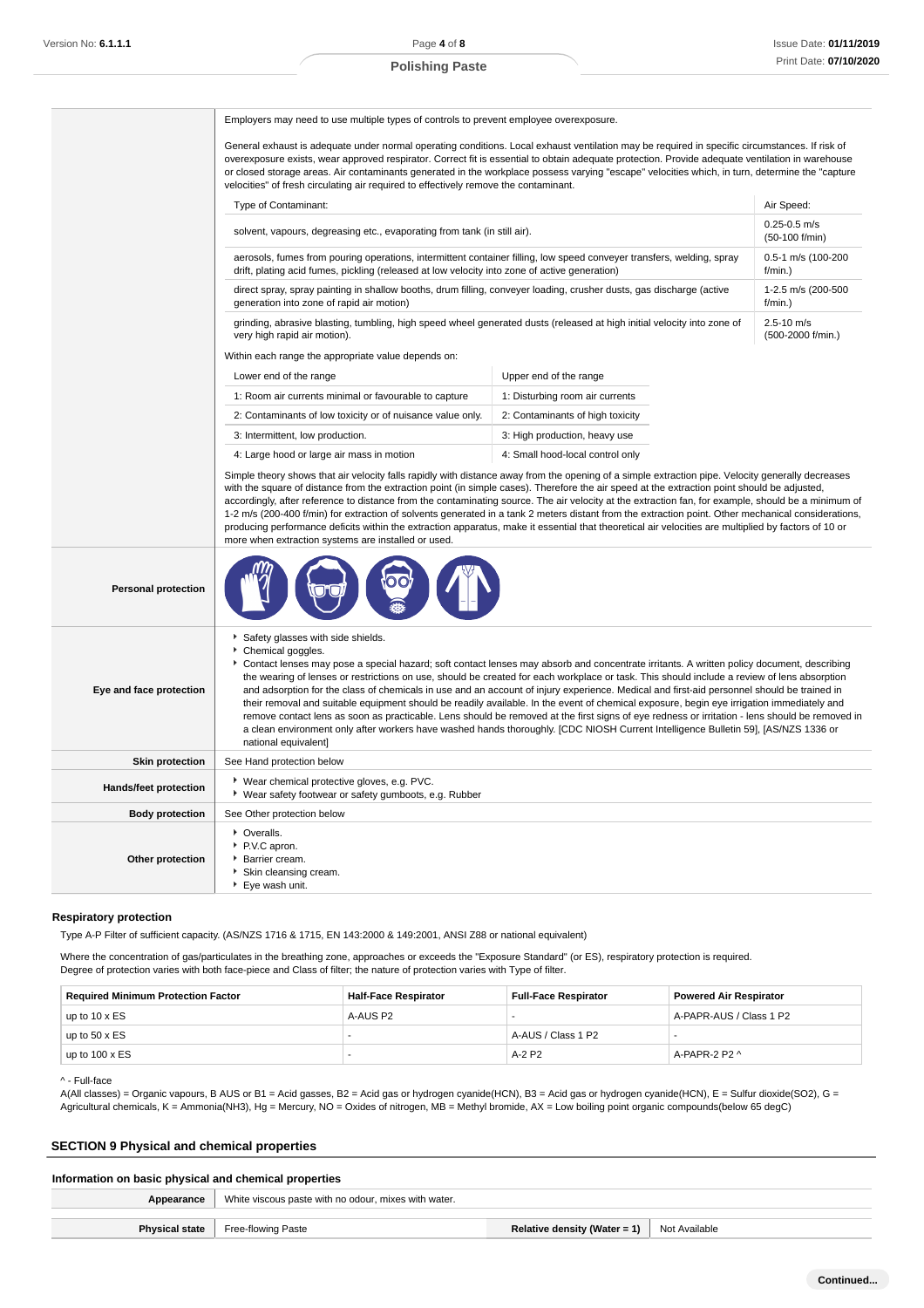**Polishing Paste**

|                            | Employers may need to use multiple types of controls to prevent employee overexposure.                                                                                                                                                                                                                                                                                                                                                                                                                                                                                                                                                                                                                                                                                                                                         |                                                                                                                                                                                                                                                                                                                                                                                                                                                                                                                                                                                                                                                                                                                                                                                                                                                                             |                                     |  |  |  |
|----------------------------|--------------------------------------------------------------------------------------------------------------------------------------------------------------------------------------------------------------------------------------------------------------------------------------------------------------------------------------------------------------------------------------------------------------------------------------------------------------------------------------------------------------------------------------------------------------------------------------------------------------------------------------------------------------------------------------------------------------------------------------------------------------------------------------------------------------------------------|-----------------------------------------------------------------------------------------------------------------------------------------------------------------------------------------------------------------------------------------------------------------------------------------------------------------------------------------------------------------------------------------------------------------------------------------------------------------------------------------------------------------------------------------------------------------------------------------------------------------------------------------------------------------------------------------------------------------------------------------------------------------------------------------------------------------------------------------------------------------------------|-------------------------------------|--|--|--|
|                            | General exhaust is adequate under normal operating conditions. Local exhaust ventilation may be required in specific circumstances. If risk of<br>overexposure exists, wear approved respirator. Correct fit is essential to obtain adequate protection. Provide adequate ventilation in warehouse<br>or closed storage areas. Air contaminants generated in the workplace possess varying "escape" velocities which, in turn, determine the "capture<br>velocities" of fresh circulating air required to effectively remove the contaminant.                                                                                                                                                                                                                                                                                  |                                                                                                                                                                                                                                                                                                                                                                                                                                                                                                                                                                                                                                                                                                                                                                                                                                                                             |                                     |  |  |  |
|                            | Type of Contaminant:<br>Air Speed:                                                                                                                                                                                                                                                                                                                                                                                                                                                                                                                                                                                                                                                                                                                                                                                             |                                                                                                                                                                                                                                                                                                                                                                                                                                                                                                                                                                                                                                                                                                                                                                                                                                                                             |                                     |  |  |  |
|                            | solvent, vapours, degreasing etc., evaporating from tank (in still air).                                                                                                                                                                                                                                                                                                                                                                                                                                                                                                                                                                                                                                                                                                                                                       | $0.25 - 0.5$ m/s<br>(50-100 f/min)                                                                                                                                                                                                                                                                                                                                                                                                                                                                                                                                                                                                                                                                                                                                                                                                                                          |                                     |  |  |  |
|                            | aerosols, fumes from pouring operations, intermittent container filling, low speed conveyer transfers, welding, spray<br>drift, plating acid fumes, pickling (released at low velocity into zone of active generation)                                                                                                                                                                                                                                                                                                                                                                                                                                                                                                                                                                                                         |                                                                                                                                                                                                                                                                                                                                                                                                                                                                                                                                                                                                                                                                                                                                                                                                                                                                             | 0.5-1 m/s (100-200<br>$f/min.$ )    |  |  |  |
|                            | direct spray, spray painting in shallow booths, drum filling, conveyer loading, crusher dusts, gas discharge (active<br>generation into zone of rapid air motion)                                                                                                                                                                                                                                                                                                                                                                                                                                                                                                                                                                                                                                                              |                                                                                                                                                                                                                                                                                                                                                                                                                                                                                                                                                                                                                                                                                                                                                                                                                                                                             | 1-2.5 m/s (200-500<br>f/min.)       |  |  |  |
|                            | grinding, abrasive blasting, tumbling, high speed wheel generated dusts (released at high initial velocity into zone of<br>very high rapid air motion).                                                                                                                                                                                                                                                                                                                                                                                                                                                                                                                                                                                                                                                                        |                                                                                                                                                                                                                                                                                                                                                                                                                                                                                                                                                                                                                                                                                                                                                                                                                                                                             | $2.5 - 10$ m/s<br>(500-2000 f/min.) |  |  |  |
|                            | Within each range the appropriate value depends on:                                                                                                                                                                                                                                                                                                                                                                                                                                                                                                                                                                                                                                                                                                                                                                            |                                                                                                                                                                                                                                                                                                                                                                                                                                                                                                                                                                                                                                                                                                                                                                                                                                                                             |                                     |  |  |  |
|                            | Lower end of the range                                                                                                                                                                                                                                                                                                                                                                                                                                                                                                                                                                                                                                                                                                                                                                                                         | Upper end of the range                                                                                                                                                                                                                                                                                                                                                                                                                                                                                                                                                                                                                                                                                                                                                                                                                                                      |                                     |  |  |  |
|                            | 1: Room air currents minimal or favourable to capture                                                                                                                                                                                                                                                                                                                                                                                                                                                                                                                                                                                                                                                                                                                                                                          | 1: Disturbing room air currents                                                                                                                                                                                                                                                                                                                                                                                                                                                                                                                                                                                                                                                                                                                                                                                                                                             |                                     |  |  |  |
|                            | 2: Contaminants of low toxicity or of nuisance value only.                                                                                                                                                                                                                                                                                                                                                                                                                                                                                                                                                                                                                                                                                                                                                                     | 2: Contaminants of high toxicity                                                                                                                                                                                                                                                                                                                                                                                                                                                                                                                                                                                                                                                                                                                                                                                                                                            |                                     |  |  |  |
|                            | 3: Intermittent, low production.                                                                                                                                                                                                                                                                                                                                                                                                                                                                                                                                                                                                                                                                                                                                                                                               | 3: High production, heavy use                                                                                                                                                                                                                                                                                                                                                                                                                                                                                                                                                                                                                                                                                                                                                                                                                                               |                                     |  |  |  |
|                            | 4: Large hood or large air mass in motion                                                                                                                                                                                                                                                                                                                                                                                                                                                                                                                                                                                                                                                                                                                                                                                      | 4: Small hood-local control only                                                                                                                                                                                                                                                                                                                                                                                                                                                                                                                                                                                                                                                                                                                                                                                                                                            |                                     |  |  |  |
|                            | Simple theory shows that air velocity falls rapidly with distance away from the opening of a simple extraction pipe. Velocity generally decreases<br>with the square of distance from the extraction point (in simple cases). Therefore the air speed at the extraction point should be adjusted,<br>accordingly, after reference to distance from the contaminating source. The air velocity at the extraction fan, for example, should be a minimum of<br>1-2 m/s (200-400 f/min) for extraction of solvents generated in a tank 2 meters distant from the extraction point. Other mechanical considerations,<br>producing performance deficits within the extraction apparatus, make it essential that theoretical air velocities are multiplied by factors of 10 or<br>more when extraction systems are installed or used. |                                                                                                                                                                                                                                                                                                                                                                                                                                                                                                                                                                                                                                                                                                                                                                                                                                                                             |                                     |  |  |  |
| <b>Personal protection</b> |                                                                                                                                                                                                                                                                                                                                                                                                                                                                                                                                                                                                                                                                                                                                                                                                                                |                                                                                                                                                                                                                                                                                                                                                                                                                                                                                                                                                                                                                                                                                                                                                                                                                                                                             |                                     |  |  |  |
| Eye and face protection    | Safety glasses with side shields.<br>Chemical goggles.<br>national equivalent]                                                                                                                                                                                                                                                                                                                                                                                                                                                                                                                                                                                                                                                                                                                                                 | Contact lenses may pose a special hazard; soft contact lenses may absorb and concentrate irritants. A written policy document, describing<br>the wearing of lenses or restrictions on use, should be created for each workplace or task. This should include a review of lens absorption<br>and adsorption for the class of chemicals in use and an account of injury experience. Medical and first-aid personnel should be trained in<br>their removal and suitable equipment should be readily available. In the event of chemical exposure, begin eye irrigation immediately and<br>remove contact lens as soon as practicable. Lens should be removed at the first signs of eye redness or irritation - lens should be removed in<br>a clean environment only after workers have washed hands thoroughly. [CDC NIOSH Current Intelligence Bulletin 59], [AS/NZS 1336 or |                                     |  |  |  |
| <b>Skin protection</b>     | See Hand protection below                                                                                                                                                                                                                                                                                                                                                                                                                                                                                                                                                                                                                                                                                                                                                                                                      |                                                                                                                                                                                                                                                                                                                                                                                                                                                                                                                                                                                                                                                                                                                                                                                                                                                                             |                                     |  |  |  |
| Hands/feet protection      | ▶ Wear chemical protective gloves, e.g. PVC.<br>▶ Wear safety footwear or safety gumboots, e.g. Rubber                                                                                                                                                                                                                                                                                                                                                                                                                                                                                                                                                                                                                                                                                                                         |                                                                                                                                                                                                                                                                                                                                                                                                                                                                                                                                                                                                                                                                                                                                                                                                                                                                             |                                     |  |  |  |
| <b>Body protection</b>     | See Other protection below                                                                                                                                                                                                                                                                                                                                                                                                                                                                                                                                                                                                                                                                                                                                                                                                     |                                                                                                                                                                                                                                                                                                                                                                                                                                                                                                                                                                                                                                                                                                                                                                                                                                                                             |                                     |  |  |  |
| Other protection           | • Overalls.<br>P.V.C apron.<br>Barrier cream.<br>Skin cleansing cream.                                                                                                                                                                                                                                                                                                                                                                                                                                                                                                                                                                                                                                                                                                                                                         |                                                                                                                                                                                                                                                                                                                                                                                                                                                                                                                                                                                                                                                                                                                                                                                                                                                                             |                                     |  |  |  |

#### **Respiratory protection**

Type A-P Filter of sufficient capacity. (AS/NZS 1716 & 1715, EN 143:2000 & 149:2001, ANSI Z88 or national equivalent)

▶ Eye wash unit.

Where the concentration of gas/particulates in the breathing zone, approaches or exceeds the "Exposure Standard" (or ES), respiratory protection is required. Degree of protection varies with both face-piece and Class of filter; the nature of protection varies with Type of filter.

| <b>Required Minimum Protection Factor</b> | <b>Half-Face Respirator</b> | <b>Full-Face Respirator</b> | <b>Powered Air Respirator</b> |
|-------------------------------------------|-----------------------------|-----------------------------|-------------------------------|
| up to $10 \times ES$                      | A-AUS P2                    |                             | A-PAPR-AUS / Class 1 P2       |
| up to $50 \times ES$                      |                             | A-AUS / Class 1 P2          |                               |
| up to $100 \times ES$                     |                             | $A-2P2$                     | A-PAPR-2 P2 ^                 |

^ - Full-face

A(All classes) = Organic vapours, B AUS or B1 = Acid gasses, B2 = Acid gas or hydrogen cyanide(HCN), B3 = Acid gas or hydrogen cyanide(HCN), E = Sulfur dioxide(SO2), G = Agricultural chemicals, K = Ammonia(NH3), Hg = Mercury, NO = Oxides of nitrogen, MB = Methyl bromide, AX = Low boiling point organic compounds(below 65 degC)

## **SECTION 9 Physical and chemical properties**

### **Information on basic physical and chemical properties**

| Appearance            | White viscous paste with no odour, mixes with water. |                                     |               |  |  |  |
|-----------------------|------------------------------------------------------|-------------------------------------|---------------|--|--|--|
| <b>Physical state</b> | Free-flowing Paste                                   | Relative density (Water = 1) $\mid$ | Not Available |  |  |  |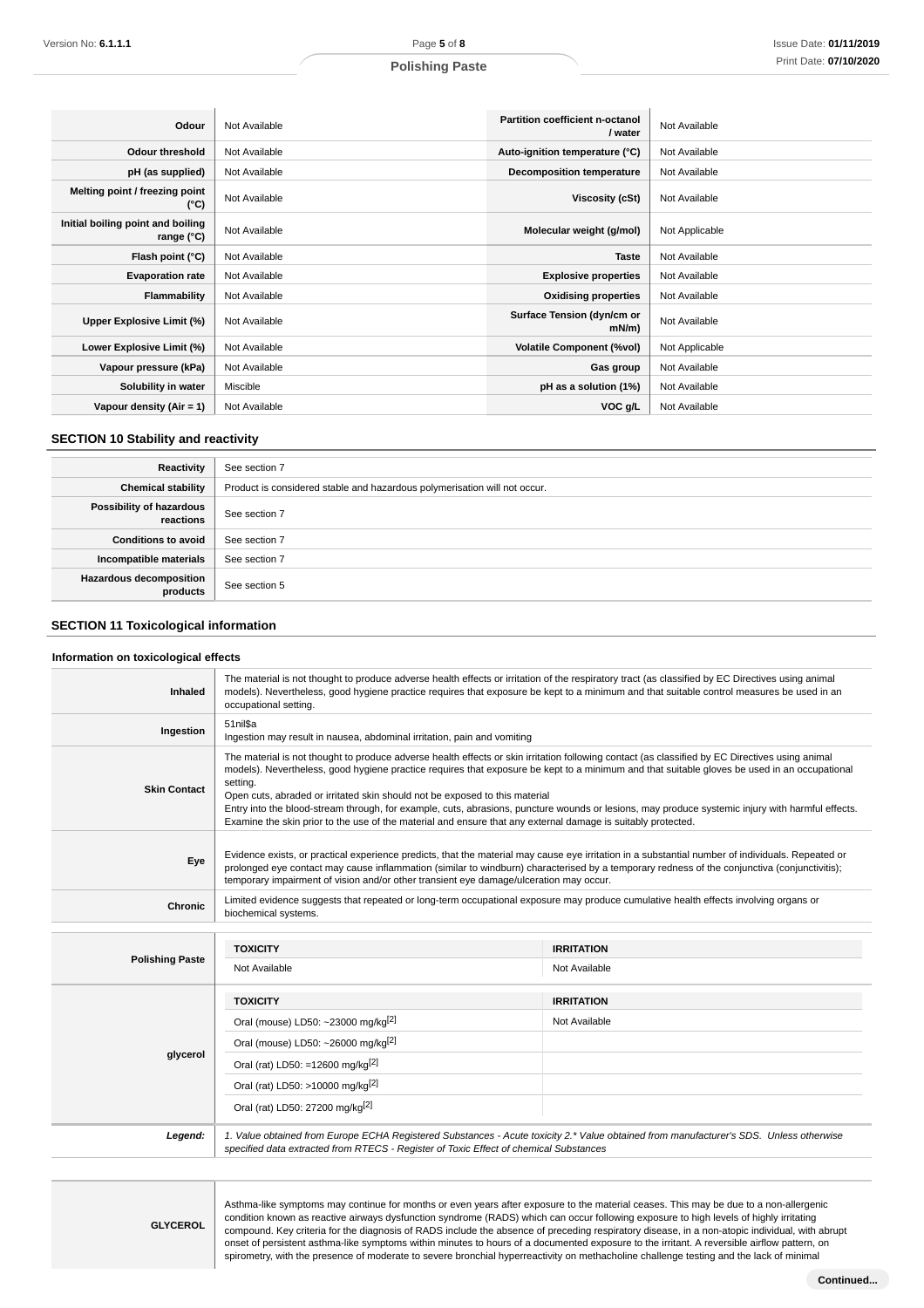# **Polishing Paste**

| Odour                                           | Not Available | Partition coefficient n-octanol<br>/ water | Not Available  |
|-------------------------------------------------|---------------|--------------------------------------------|----------------|
| Odour threshold                                 | Not Available | Auto-ignition temperature (°C)             | Not Available  |
| pH (as supplied)                                | Not Available | <b>Decomposition temperature</b>           | Not Available  |
| Melting point / freezing point<br>(°C)          | Not Available | Viscosity (cSt)                            | Not Available  |
| Initial boiling point and boiling<br>range (°C) | Not Available | Molecular weight (g/mol)                   | Not Applicable |
| Flash point (°C)                                | Not Available | <b>Taste</b>                               | Not Available  |
| <b>Evaporation rate</b>                         | Not Available | <b>Explosive properties</b>                | Not Available  |
| Flammability                                    | Not Available | <b>Oxidising properties</b>                | Not Available  |
| Upper Explosive Limit (%)                       | Not Available | Surface Tension (dyn/cm or<br>$mN/m$ )     | Not Available  |
| Lower Explosive Limit (%)                       | Not Available | <b>Volatile Component (%vol)</b>           | Not Applicable |
| Vapour pressure (kPa)                           | Not Available | Gas group                                  | Not Available  |
| Solubility in water                             | Miscible      | pH as a solution (1%)                      | Not Available  |
| Vapour density (Air = 1)                        | Not Available | VOC g/L                                    | Not Available  |

## **SECTION 10 Stability and reactivity**

| Reactivity                            | See section 7                                                             |
|---------------------------------------|---------------------------------------------------------------------------|
| <b>Chemical stability</b>             | Product is considered stable and hazardous polymerisation will not occur. |
| Possibility of hazardous<br>reactions | See section 7                                                             |
| <b>Conditions to avoid</b>            | See section 7                                                             |
| Incompatible materials                | See section 7                                                             |
| Hazardous decomposition<br>products   | See section 5                                                             |

# **SECTION 11 Toxicological information**

#### **Information on toxicological effects**

| Inhaled                | The material is not thought to produce adverse health effects or irritation of the respiratory tract (as classified by EC Directives using animal<br>models). Nevertheless, good hygiene practice requires that exposure be kept to a minimum and that suitable control measures be used in an<br>occupational setting.                                                                                                                                                                                                                                                                                                                                        |                                                                                                                                        |  |  |  |  |
|------------------------|----------------------------------------------------------------------------------------------------------------------------------------------------------------------------------------------------------------------------------------------------------------------------------------------------------------------------------------------------------------------------------------------------------------------------------------------------------------------------------------------------------------------------------------------------------------------------------------------------------------------------------------------------------------|----------------------------------------------------------------------------------------------------------------------------------------|--|--|--|--|
| Ingestion              | 51 nil\$a<br>Ingestion may result in nausea, abdominal irritation, pain and vomiting                                                                                                                                                                                                                                                                                                                                                                                                                                                                                                                                                                           |                                                                                                                                        |  |  |  |  |
| <b>Skin Contact</b>    | The material is not thought to produce adverse health effects or skin irritation following contact (as classified by EC Directives using animal<br>models). Nevertheless, good hygiene practice requires that exposure be kept to a minimum and that suitable gloves be used in an occupational<br>setting.<br>Open cuts, abraded or irritated skin should not be exposed to this material<br>Entry into the blood-stream through, for example, cuts, abrasions, puncture wounds or lesions, may produce systemic injury with harmful effects.<br>Examine the skin prior to the use of the material and ensure that any external damage is suitably protected. |                                                                                                                                        |  |  |  |  |
| Eye                    | Evidence exists, or practical experience predicts, that the material may cause eye irritation in a substantial number of individuals. Repeated or<br>prolonged eye contact may cause inflammation (similar to windburn) characterised by a temporary redness of the conjunctiva (conjunctivitis);<br>temporary impairment of vision and/or other transient eye damage/ulceration may occur.                                                                                                                                                                                                                                                                    |                                                                                                                                        |  |  |  |  |
| Chronic                | biochemical systems.                                                                                                                                                                                                                                                                                                                                                                                                                                                                                                                                                                                                                                           | Limited evidence suggests that repeated or long-term occupational exposure may produce cumulative health effects involving organs or   |  |  |  |  |
|                        |                                                                                                                                                                                                                                                                                                                                                                                                                                                                                                                                                                                                                                                                |                                                                                                                                        |  |  |  |  |
|                        | <b>TOXICITY</b>                                                                                                                                                                                                                                                                                                                                                                                                                                                                                                                                                                                                                                                | <b>IRRITATION</b>                                                                                                                      |  |  |  |  |
| <b>Polishing Paste</b> | Not Available                                                                                                                                                                                                                                                                                                                                                                                                                                                                                                                                                                                                                                                  | Not Available                                                                                                                          |  |  |  |  |
|                        | <b>TOXICITY</b>                                                                                                                                                                                                                                                                                                                                                                                                                                                                                                                                                                                                                                                | <b>IRRITATION</b>                                                                                                                      |  |  |  |  |
|                        | Oral (mouse) LD50: ~23000 mg/kg <sup>[2]</sup>                                                                                                                                                                                                                                                                                                                                                                                                                                                                                                                                                                                                                 | Not Available                                                                                                                          |  |  |  |  |
|                        | Oral (mouse) LD50: ~26000 mg/kg <sup>[2]</sup>                                                                                                                                                                                                                                                                                                                                                                                                                                                                                                                                                                                                                 |                                                                                                                                        |  |  |  |  |
| glycerol               | Oral (rat) LD50: =12600 mg/kg <sup>[2]</sup>                                                                                                                                                                                                                                                                                                                                                                                                                                                                                                                                                                                                                   |                                                                                                                                        |  |  |  |  |
|                        | Oral (rat) LD50: >10000 mg/kg <sup>[2]</sup>                                                                                                                                                                                                                                                                                                                                                                                                                                                                                                                                                                                                                   |                                                                                                                                        |  |  |  |  |
|                        | Oral (rat) LD50: 27200 mg/kg <sup>[2]</sup>                                                                                                                                                                                                                                                                                                                                                                                                                                                                                                                                                                                                                    |                                                                                                                                        |  |  |  |  |
| Legend:                | specified data extracted from RTECS - Register of Toxic Effect of chemical Substances                                                                                                                                                                                                                                                                                                                                                                                                                                                                                                                                                                          | 1. Value obtained from Europe ECHA Registered Substances - Acute toxicity 2.* Value obtained from manufacturer's SDS. Unless otherwise |  |  |  |  |

specified data extracted from RTECS - Register of Toxic Effect of chemical Substances

**GLYCEROL**

Asthma-like symptoms may continue for months or even years after exposure to the material ceases. This may be due to a non-allergenic condition known as reactive airways dysfunction syndrome (RADS) which can occur following exposure to high levels of highly irritating compound. Key criteria for the diagnosis of RADS include the absence of preceding respiratory disease, in a non-atopic individual, with abrupt onset of persistent asthma-like symptoms within minutes to hours of a documented exposure to the irritant. A reversible airflow pattern, on spirometry, with the presence of moderate to severe bronchial hyperreactivity on methacholine challenge testing and the lack of minimal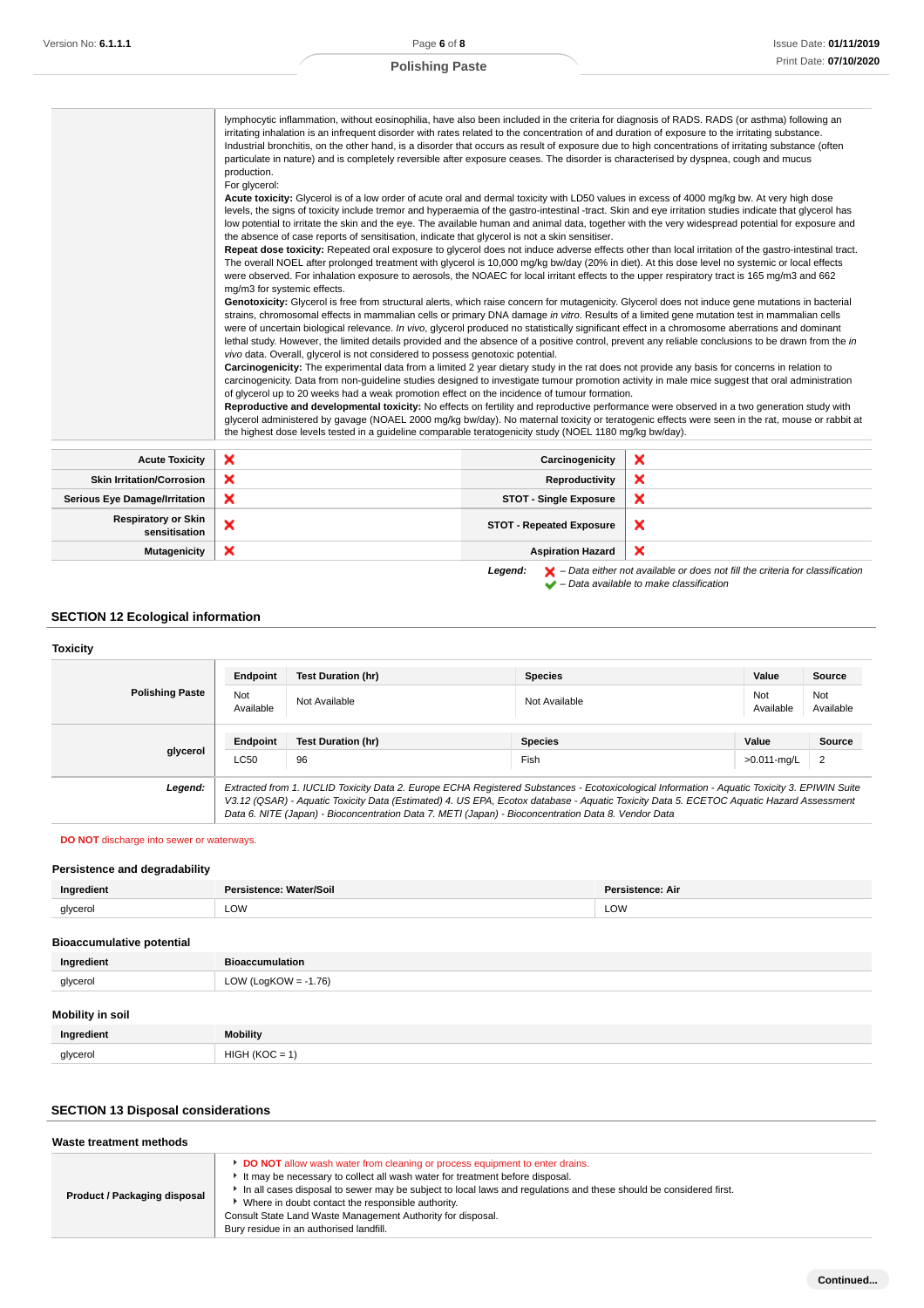# **Polishing Paste**

|                                             | lymphocytic inflammation, without eosinophilia, have also been included in the criteria for diagnosis of RADS. RADS (or asthma) following an<br>irritating inhalation is an infrequent disorder with rates related to the concentration of and duration of exposure to the irritating substance.<br>Industrial bronchitis, on the other hand, is a disorder that occurs as result of exposure due to high concentrations of irritating substance (often<br>particulate in nature) and is completely reversible after exposure ceases. The disorder is characterised by dyspnea, cough and mucus<br>production.<br>For glycerol:<br>Acute toxicity: Glycerol is of a low order of acute oral and dermal toxicity with LD50 values in excess of 4000 mg/kg bw. At very high dose<br>levels, the signs of toxicity include tremor and hyperaemia of the gastro-intestinal -tract. Skin and eye irritation studies indicate that glycerol has<br>low potential to irritate the skin and the eye. The available human and animal data, together with the very widespread potential for exposure and<br>the absence of case reports of sensitisation, indicate that glycerol is not a skin sensitiser.<br>Repeat dose toxicity: Repeated oral exposure to glycerol does not induce adverse effects other than local irritation of the gastro-intestinal tract.<br>The overall NOEL after prolonged treatment with glycerol is 10,000 mg/kg bw/day (20% in diet). At this dose level no systemic or local effects<br>were observed. For inhalation exposure to aerosols, the NOAEC for local irritant effects to the upper respiratory tract is 165 mg/m3 and 662<br>mg/m3 for systemic effects.<br>Genotoxicity: Glycerol is free from structural alerts, which raise concern for mutagenicity. Glycerol does not induce gene mutations in bacterial<br>strains, chromosomal effects in mammalian cells or primary DNA damage in vitro. Results of a limited gene mutation test in mammalian cells<br>were of uncertain biological relevance. In vivo, glycerol produced no statistically significant effect in a chromosome aberrations and dominant<br>lethal study. However, the limited details provided and the absence of a positive control, prevent any reliable conclusions to be drawn from the in<br>vivo data. Overall, glycerol is not considered to possess genotoxic potential.<br>Carcinogenicity: The experimental data from a limited 2 year dietary study in the rat does not provide any basis for concerns in relation to<br>carcinogenicity. Data from non-guideline studies designed to investigate tumour promotion activity in male mice suggest that oral administration<br>of glycerol up to 20 weeks had a weak promotion effect on the incidence of tumour formation.<br>Reproductive and developmental toxicity: No effects on fertility and reproductive performance were observed in a two generation study with<br>glycerol administered by gavage (NOAEL 2000 mg/kg bw/day). No maternal toxicity or teratogenic effects were seen in the rat, mouse or rabbit at<br>the highest dose levels tested in a quideline comparable teratogenicity study (NOEL 1180 mg/kg bw/day).<br>×<br>Carcinogenicity<br>×<br>Reproductivity<br>×<br><b>STOT - Single Exposure</b> |                                 |                                                                                                                                                                     |  |  |  |
|---------------------------------------------|-----------------------------------------------------------------------------------------------------------------------------------------------------------------------------------------------------------------------------------------------------------------------------------------------------------------------------------------------------------------------------------------------------------------------------------------------------------------------------------------------------------------------------------------------------------------------------------------------------------------------------------------------------------------------------------------------------------------------------------------------------------------------------------------------------------------------------------------------------------------------------------------------------------------------------------------------------------------------------------------------------------------------------------------------------------------------------------------------------------------------------------------------------------------------------------------------------------------------------------------------------------------------------------------------------------------------------------------------------------------------------------------------------------------------------------------------------------------------------------------------------------------------------------------------------------------------------------------------------------------------------------------------------------------------------------------------------------------------------------------------------------------------------------------------------------------------------------------------------------------------------------------------------------------------------------------------------------------------------------------------------------------------------------------------------------------------------------------------------------------------------------------------------------------------------------------------------------------------------------------------------------------------------------------------------------------------------------------------------------------------------------------------------------------------------------------------------------------------------------------------------------------------------------------------------------------------------------------------------------------------------------------------------------------------------------------------------------------------------------------------------------------------------------------------------------------------------------------------------------------------------------------------------------------------------------------------------------------------------------------------------------------------------------------------------------------------------------------------------------------------------------------------------------------------------------------------------------------------------------------------------------------------------------------------|---------------------------------|---------------------------------------------------------------------------------------------------------------------------------------------------------------------|--|--|--|
| <b>Acute Toxicity</b>                       | ×                                                                                                                                                                                                                                                                                                                                                                                                                                                                                                                                                                                                                                                                                                                                                                                                                                                                                                                                                                                                                                                                                                                                                                                                                                                                                                                                                                                                                                                                                                                                                                                                                                                                                                                                                                                                                                                                                                                                                                                                                                                                                                                                                                                                                                                                                                                                                                                                                                                                                                                                                                                                                                                                                                                                                                                                                                                                                                                                                                                                                                                                                                                                                                                                                                                                                             |                                 |                                                                                                                                                                     |  |  |  |
| <b>Skin Irritation/Corrosion</b>            | ×                                                                                                                                                                                                                                                                                                                                                                                                                                                                                                                                                                                                                                                                                                                                                                                                                                                                                                                                                                                                                                                                                                                                                                                                                                                                                                                                                                                                                                                                                                                                                                                                                                                                                                                                                                                                                                                                                                                                                                                                                                                                                                                                                                                                                                                                                                                                                                                                                                                                                                                                                                                                                                                                                                                                                                                                                                                                                                                                                                                                                                                                                                                                                                                                                                                                                             |                                 |                                                                                                                                                                     |  |  |  |
| <b>Serious Eye Damage/Irritation</b>        | ×                                                                                                                                                                                                                                                                                                                                                                                                                                                                                                                                                                                                                                                                                                                                                                                                                                                                                                                                                                                                                                                                                                                                                                                                                                                                                                                                                                                                                                                                                                                                                                                                                                                                                                                                                                                                                                                                                                                                                                                                                                                                                                                                                                                                                                                                                                                                                                                                                                                                                                                                                                                                                                                                                                                                                                                                                                                                                                                                                                                                                                                                                                                                                                                                                                                                                             |                                 |                                                                                                                                                                     |  |  |  |
| <b>Respiratory or Skin</b><br>sensitisation | ×                                                                                                                                                                                                                                                                                                                                                                                                                                                                                                                                                                                                                                                                                                                                                                                                                                                                                                                                                                                                                                                                                                                                                                                                                                                                                                                                                                                                                                                                                                                                                                                                                                                                                                                                                                                                                                                                                                                                                                                                                                                                                                                                                                                                                                                                                                                                                                                                                                                                                                                                                                                                                                                                                                                                                                                                                                                                                                                                                                                                                                                                                                                                                                                                                                                                                             | <b>STOT - Repeated Exposure</b> | ×                                                                                                                                                                   |  |  |  |
| Mutagenicity                                | ×                                                                                                                                                                                                                                                                                                                                                                                                                                                                                                                                                                                                                                                                                                                                                                                                                                                                                                                                                                                                                                                                                                                                                                                                                                                                                                                                                                                                                                                                                                                                                                                                                                                                                                                                                                                                                                                                                                                                                                                                                                                                                                                                                                                                                                                                                                                                                                                                                                                                                                                                                                                                                                                                                                                                                                                                                                                                                                                                                                                                                                                                                                                                                                                                                                                                                             | <b>Aspiration Hazard</b>        | ×                                                                                                                                                                   |  |  |  |
|                                             |                                                                                                                                                                                                                                                                                                                                                                                                                                                                                                                                                                                                                                                                                                                                                                                                                                                                                                                                                                                                                                                                                                                                                                                                                                                                                                                                                                                                                                                                                                                                                                                                                                                                                                                                                                                                                                                                                                                                                                                                                                                                                                                                                                                                                                                                                                                                                                                                                                                                                                                                                                                                                                                                                                                                                                                                                                                                                                                                                                                                                                                                                                                                                                                                                                                                                               | Legend:                         | $\blacktriangleright$ – Data either not available or does not fill the criteria for classification<br>$\blacktriangleright$ - Data available to make classification |  |  |  |

# **SECTION 12 Ecological information**

#### **Toxicity**

|                        | Endpoint         | <b>Test Duration (hr)</b>                                                                                                                                                                                                                                                                                                                                                                       | <b>Species</b> | Value            | Source           |
|------------------------|------------------|-------------------------------------------------------------------------------------------------------------------------------------------------------------------------------------------------------------------------------------------------------------------------------------------------------------------------------------------------------------------------------------------------|----------------|------------------|------------------|
| <b>Polishing Paste</b> | Not<br>Available | Not Available                                                                                                                                                                                                                                                                                                                                                                                   | Not Available  | Not<br>Available | Not<br>Available |
| glycerol               | Endpoint         | <b>Test Duration (hr)</b>                                                                                                                                                                                                                                                                                                                                                                       | <b>Species</b> | Value            | Source           |
|                        | <b>LC50</b>      | 96                                                                                                                                                                                                                                                                                                                                                                                              | Fish           | >0.011-mg/L      | $\overline{2}$   |
| Legend:                |                  | Extracted from 1. IUCLID Toxicity Data 2. Europe ECHA Registered Substances - Ecotoxicological Information - Aquatic Toxicity 3. EPIWIN Suite<br>V3.12 (QSAR) - Aquatic Toxicity Data (Estimated) 4. US EPA, Ecotox database - Aquatic Toxicity Data 5. ECETOC Aquatic Hazard Assessment<br>Data 6. NITE (Japan) - Bioconcentration Data 7. METI (Japan) - Bioconcentration Data 8. Vendor Data |                |                  |                  |

**DO NOT** discharge into sewer or waterways.

# **Persistence and degradability**

| LOW<br>LOW<br>glycerol<br>____ | Ingredient | Persistence: Water/Soil | <b>Persistence: Air</b> |
|--------------------------------|------------|-------------------------|-------------------------|
|                                |            |                         |                         |

## **Bioaccumulative potential**

| Ingredient              | <b>Bioaccumulation</b>  |
|-------------------------|-------------------------|
| glycerol                | LOW (LogKOW = $-1.76$ ) |
| <b>Mobility in soil</b> |                         |
| Ingredient              | <b>Mobility</b>         |
| glycerol                | $HIGH (KOC = 1)$        |

# **SECTION 13 Disposal considerations**

| Waste treatment methods      |                                                                                                                                                                                                                                                                                                                                                                                                                                                        |  |
|------------------------------|--------------------------------------------------------------------------------------------------------------------------------------------------------------------------------------------------------------------------------------------------------------------------------------------------------------------------------------------------------------------------------------------------------------------------------------------------------|--|
| Product / Packaging disposal | <b>DO NOT</b> allow wash water from cleaning or process equipment to enter drains.<br>It may be necessary to collect all wash water for treatment before disposal.<br>In all cases disposal to sewer may be subject to local laws and regulations and these should be considered first.<br>Where in doubt contact the responsible authority.<br>Consult State Land Waste Management Authority for disposal.<br>Bury residue in an authorised landfill. |  |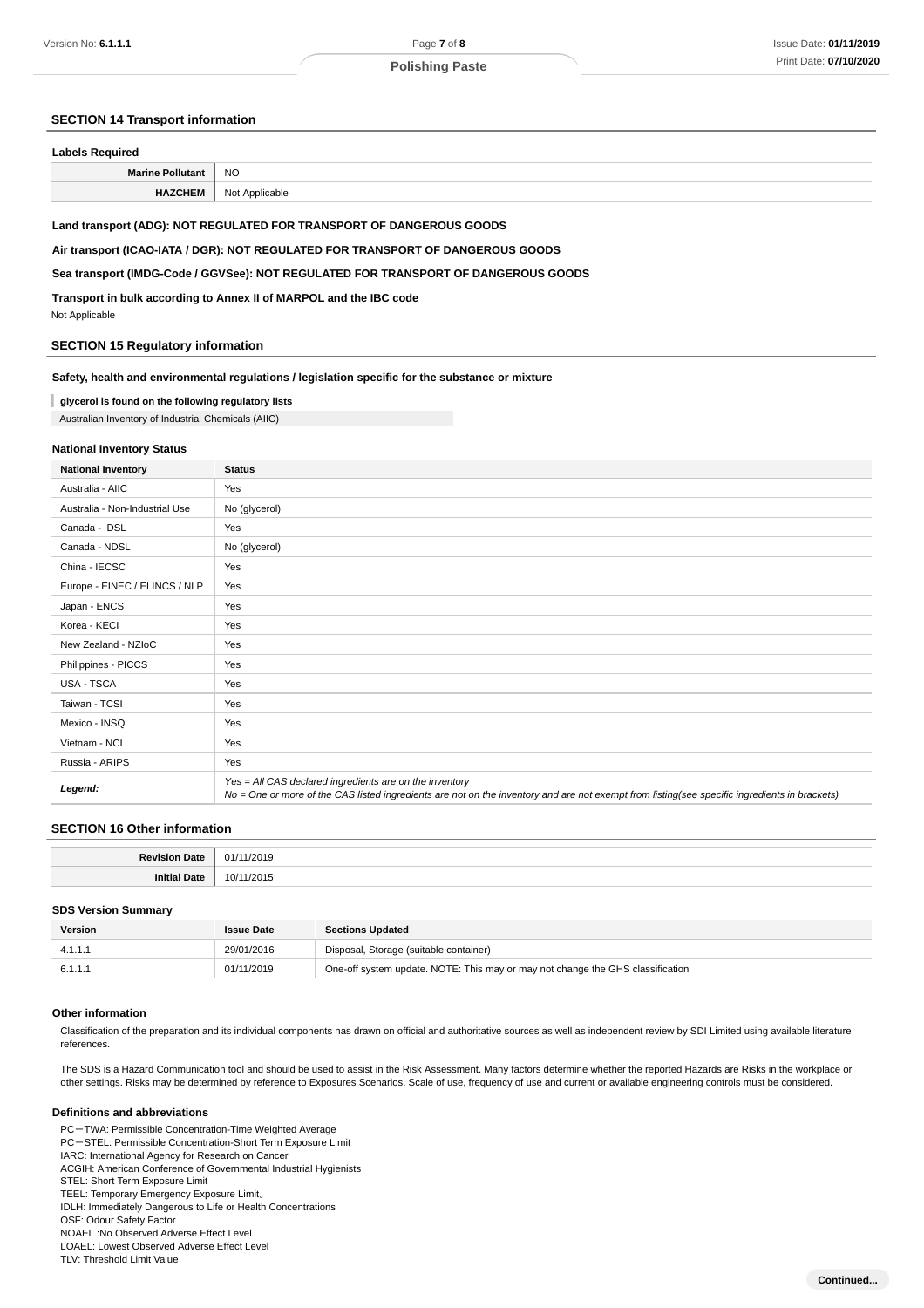#### **SECTION 14 Transport information**

| <b>Labels Required</b>  |                |  |
|-------------------------|----------------|--|
| <b>Marine Pollutant</b> | <b>NO</b>      |  |
| <b>HAZCHEM</b>          | Not Applicable |  |

#### **Land transport (ADG): NOT REGULATED FOR TRANSPORT OF DANGEROUS GOODS**

**Air transport (ICAO-IATA / DGR): NOT REGULATED FOR TRANSPORT OF DANGEROUS GOODS**

#### **Sea transport (IMDG-Code / GGVSee): NOT REGULATED FOR TRANSPORT OF DANGEROUS GOODS**

**Transport in bulk according to Annex II of MARPOL and the IBC code**

Not Applicable

#### **SECTION 15 Regulatory information**

#### **Safety, health and environmental regulations / legislation specific for the substance or mixture**

#### **glycerol is found on the following regulatory lists**

Australian Inventory of Industrial Chemicals (AIIC)

### **National Inventory Status**

| <b>National Inventory</b>      | <b>Status</b>                                                                                                                                                                                            |  |
|--------------------------------|----------------------------------------------------------------------------------------------------------------------------------------------------------------------------------------------------------|--|
| Australia - AIIC               | Yes                                                                                                                                                                                                      |  |
| Australia - Non-Industrial Use | No (glycerol)                                                                                                                                                                                            |  |
| Canada - DSL                   | Yes                                                                                                                                                                                                      |  |
| Canada - NDSL                  | No (glycerol)                                                                                                                                                                                            |  |
| China - IECSC                  | Yes                                                                                                                                                                                                      |  |
| Europe - EINEC / ELINCS / NLP  | Yes                                                                                                                                                                                                      |  |
| Japan - ENCS                   | Yes                                                                                                                                                                                                      |  |
| Korea - KECI                   | Yes                                                                                                                                                                                                      |  |
| New Zealand - NZIoC            | Yes                                                                                                                                                                                                      |  |
| Philippines - PICCS            | Yes                                                                                                                                                                                                      |  |
| USA - TSCA                     | Yes                                                                                                                                                                                                      |  |
| Taiwan - TCSI                  | Yes                                                                                                                                                                                                      |  |
| Mexico - INSQ                  | Yes                                                                                                                                                                                                      |  |
| Vietnam - NCI                  | Yes                                                                                                                                                                                                      |  |
| Russia - ARIPS                 | Yes                                                                                                                                                                                                      |  |
| Legend:                        | Yes = All CAS declared ingredients are on the inventory<br>No = One or more of the CAS listed ingredients are not on the inventory and are not exempt from listing(see specific ingredients in brackets) |  |

#### **SECTION 16 Other information**

| . . |  |
|-----|--|
|     |  |

#### **SDS Version Summary**

| Version | <b>Issue Date</b> | <b>Sections Updated</b>                                                        |
|---------|-------------------|--------------------------------------------------------------------------------|
|         | 29/01/2016        | Disposal, Storage (suitable container)                                         |
| 6.1.1.1 | 01/11/2019        | One-off system update. NOTE: This may or may not change the GHS classification |

#### **Other information**

Classification of the preparation and its individual components has drawn on official and authoritative sources as well as independent review by SDI Limited using available literature references.

The SDS is a Hazard Communication tool and should be used to assist in the Risk Assessment. Many factors determine whether the reported Hazards are Risks in the workplace or other settings. Risks may be determined by reference to Exposures Scenarios. Scale of use, frequency of use and current or available engineering controls must be considered.

#### **Definitions and abbreviations**

PC-TWA: Permissible Concentration-Time Weighted Average PC-STEL: Permissible Concentration-Short Term Exposure Limit IARC: International Agency for Research on Cancer ACGIH: American Conference of Governmental Industrial Hygienists STEL: Short Term Exposure Limit TEEL: Temporary Emergency Exposure Limit。 IDLH: Immediately Dangerous to Life or Health Concentrations OSF: Odour Safety Factor NOAEL :No Observed Adverse Effect Level LOAEL: Lowest Observed Adverse Effect Level

TLV: Threshold Limit Value